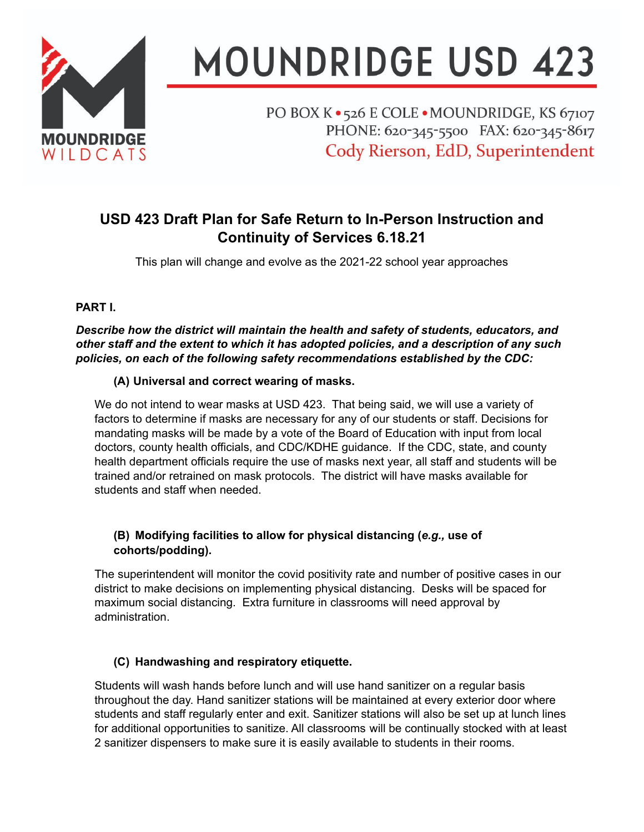

# **MOUNDRIDGE USD 423**

PO BOX K · 526 E COLE · MOUNDRIDGE, KS 67107 PHONE: 620-345-5500 FAX: 620-345-8617 Cody Rierson, EdD, Superintendent

# **USD 423 Draft Plan for Safe Return to In-Person Instruction and Continuity of Services 6.18.21**

This plan will change and evolve as the 2021-22 school year approaches

# **PART I.**

*Describe how the district will maintain the health and safety of students, educators, and other staff and the extent to which it has adopted policies, and a description of any such policies, on each of the following safety recommendations established by the CDC:*

# **(A) Universal and correct wearing of masks.**

We do not intend to wear masks at USD 423. That being said, we will use a variety of factors to determine if masks are necessary for any of our students or staff. Decisions for mandating masks will be made by a vote of the Board of Education with input from local doctors, county health officials, and CDC/KDHE guidance. If the CDC, state, and county health department officials require the use of masks next year, all staff and students will be trained and/or retrained on mask protocols. The district will have masks available for students and staff when needed.

# **(B) Modifying facilities to allow for physical distancing (***e.g.,* **use of cohorts/podding).**

The superintendent will monitor the covid positivity rate and number of positive cases in our district to make decisions on implementing physical distancing. Desks will be spaced for maximum social distancing. Extra furniture in classrooms will need approval by administration.

# **(C) Handwashing and respiratory etiquette.**

Students will wash hands before lunch and will use hand sanitizer on a regular basis throughout the day. Hand sanitizer stations will be maintained at every exterior door where students and staff regularly enter and exit. Sanitizer stations will also be set up at lunch lines for additional opportunities to sanitize. All classrooms will be continually stocked with at least 2 sanitizer dispensers to make sure it is easily available to students in their rooms.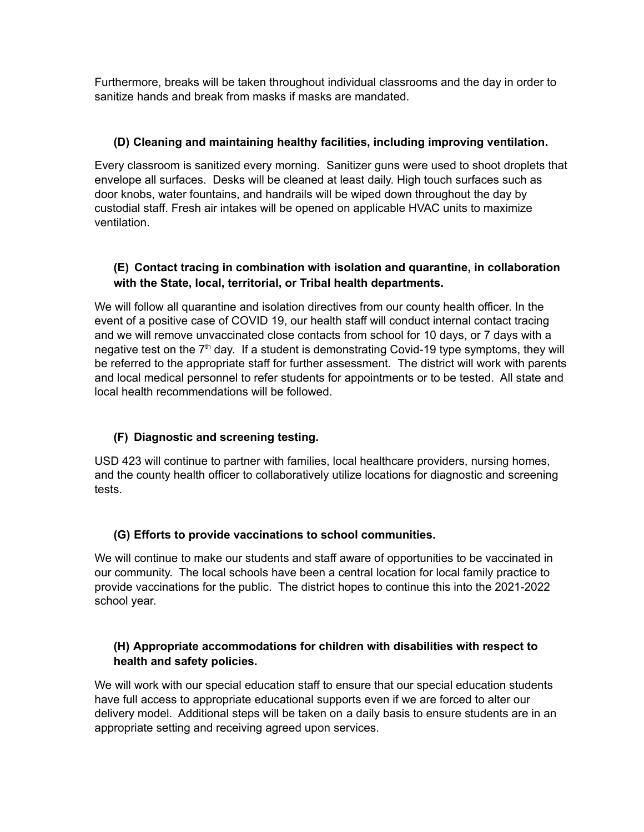Furthermore, breaks will be taken throughout individual classrooms and the day in order to sanitize hands and break from masks if masks are mandated.

#### **(D) Cleaning and maintaining healthy facilities, including improving ventilation.**

Every classroom is sanitized every morning. Sanitizer guns were used to shoot droplets that envelope all surfaces. Desks will be cleaned at least daily. High touch surfaces such as door knobs, water fountains, and handrails will be wiped down throughout the day by custodial staff. Fresh air intakes will be opened on applicable HVAC units to maximize ventilation.

#### **(E) Contact tracing in combination with isolation and quarantine, in collaboration with the State, local, territorial, or Tribal health departments.**

We will follow all quarantine and isolation directives from our county health officer. In the event of a positive case of COVID 19, our health staff will conduct internal contact tracing and we will remove unvaccinated close contacts from school for 10 days, or 7 days with a negative test on the 7<sup>th</sup> day. If a student is demonstrating Covid-19 type symptoms, they will be referred to the appropriate staff for further assessment. The district will work with parents and local medical personnel to refer students for appointments or to be tested. All state and local health recommendations will be followed.

# **(F) Diagnostic and screening testing.**

USD 423 will continue to partner with families, local healthcare providers, nursing homes, and the county health officer to collaboratively utilize locations for diagnostic and screening tests.

#### **(G) Efforts to provide vaccinations to school communities.**

We will continue to make our students and staff aware of opportunities to be vaccinated in our community. The local schools have been a central location for local family practice to provide vaccinations for the public. The district hopes to continue this into the 2021-2022 school year.

# **(H) Appropriate accommodations for children with disabilities with respect to health and safety policies.**

We will work with our special education staff to ensure that our special education students have full access to appropriate educational supports even if we are forced to alter our delivery model. Additional steps will be taken on a daily basis to ensure students are in an appropriate setting and receiving agreed upon services.